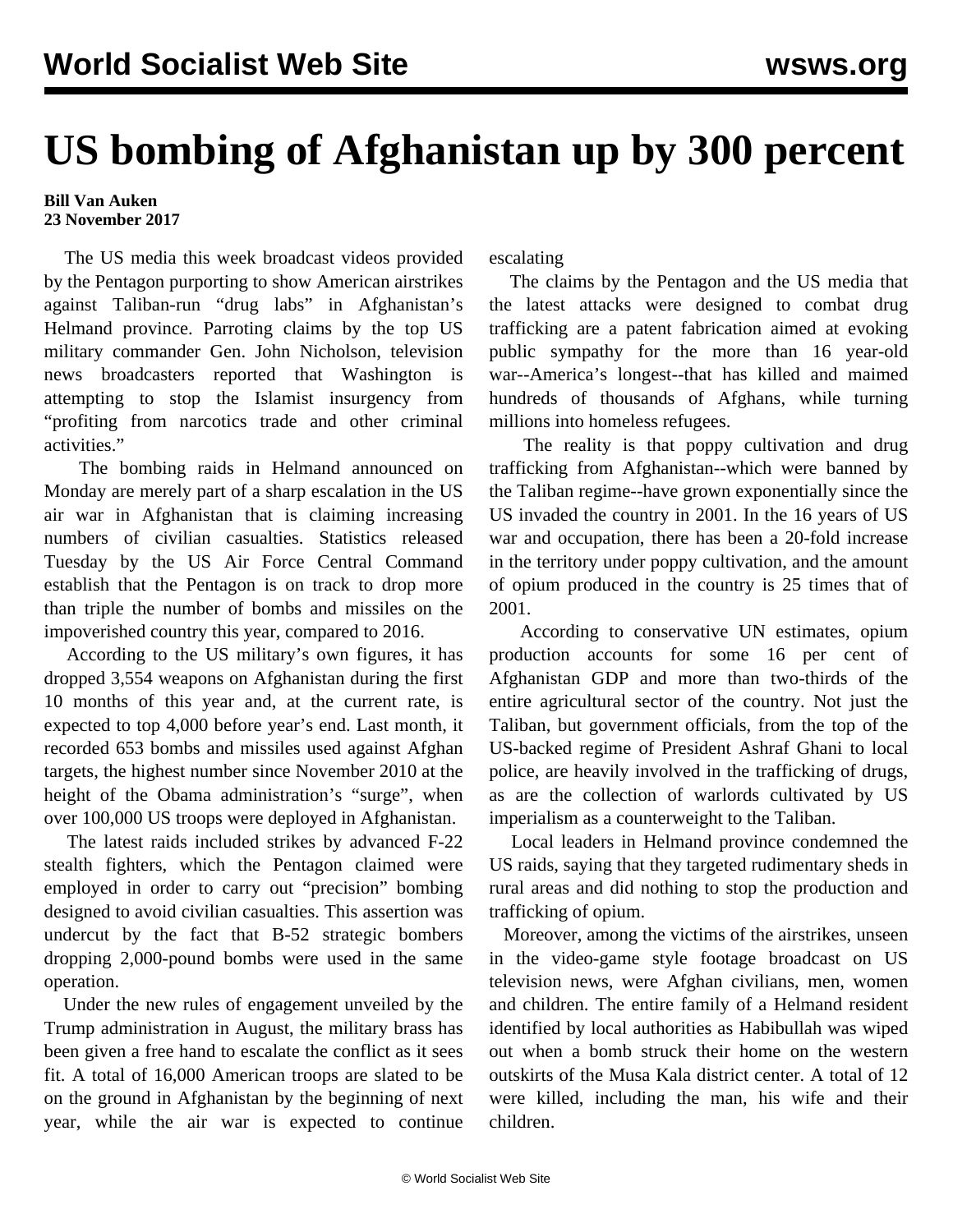## **US bombing of Afghanistan up by 300 percent**

## **Bill Van Auken 23 November 2017**

 The US media this week broadcast videos provided by the Pentagon purporting to show American airstrikes against Taliban-run "drug labs" in Afghanistan's Helmand province. Parroting claims by the top US military commander Gen. John Nicholson, television news broadcasters reported that Washington is attempting to stop the Islamist insurgency from "profiting from narcotics trade and other criminal activities."

 The bombing raids in Helmand announced on Monday are merely part of a sharp escalation in the US air war in Afghanistan that is claiming increasing numbers of civilian casualties. Statistics released Tuesday by the US Air Force Central Command establish that the Pentagon is on track to drop more than triple the number of bombs and missiles on the impoverished country this year, compared to 2016.

 According to the US military's own figures, it has dropped 3,554 weapons on Afghanistan during the first 10 months of this year and, at the current rate, is expected to top 4,000 before year's end. Last month, it recorded 653 bombs and missiles used against Afghan targets, the highest number since November 2010 at the height of the Obama administration's "surge", when over 100,000 US troops were deployed in Afghanistan.

 The latest raids included strikes by advanced F-22 stealth fighters, which the Pentagon claimed were employed in order to carry out "precision" bombing designed to avoid civilian casualties. This assertion was undercut by the fact that B-52 strategic bombers dropping 2,000-pound bombs were used in the same operation.

 Under the new rules of engagement unveiled by the Trump administration in August, the military brass has been given a free hand to escalate the conflict as it sees fit. A total of 16,000 American troops are slated to be on the ground in Afghanistan by the beginning of next year, while the air war is expected to continue

escalating

 The claims by the Pentagon and the US media that the latest attacks were designed to combat drug trafficking are a patent fabrication aimed at evoking public sympathy for the more than 16 year-old war--America's longest--that has killed and maimed hundreds of thousands of Afghans, while turning millions into homeless refugees.

 The reality is that poppy cultivation and drug trafficking from Afghanistan--which were banned by the Taliban regime--have grown exponentially since the US invaded the country in 2001. In the 16 years of US war and occupation, there has been a 20-fold increase in the territory under poppy cultivation, and the amount of opium produced in the country is 25 times that of 2001.

 According to conservative UN estimates, opium production accounts for some 16 per cent of Afghanistan GDP and more than two-thirds of the entire agricultural sector of the country. Not just the Taliban, but government officials, from the top of the US-backed regime of President Ashraf Ghani to local police, are heavily involved in the trafficking of drugs, as are the collection of warlords cultivated by US imperialism as a counterweight to the Taliban.

 Local leaders in Helmand province condemned the US raids, saying that they targeted rudimentary sheds in rural areas and did nothing to stop the production and trafficking of opium.

 Moreover, among the victims of the airstrikes, unseen in the video-game style footage broadcast on US television news, were Afghan civilians, men, women and children. The entire family of a Helmand resident identified by local authorities as Habibullah was wiped out when a bomb struck their home on the western outskirts of the Musa Kala district center. A total of 12 were killed, including the man, his wife and their children.